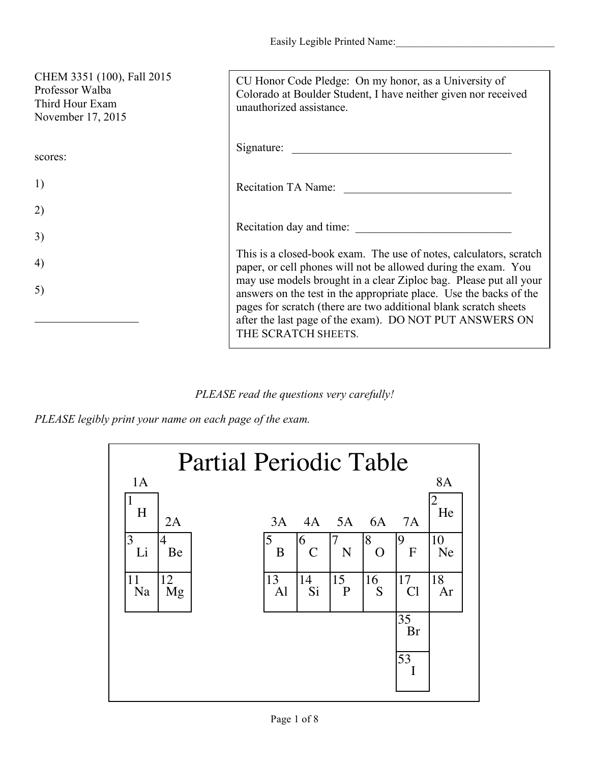| CHEM 3351 (100), Fall 2015<br>Professor Walba<br>Third Hour Exam<br>November 17, 2015 | CU Honor Code Pledge: On my honor, as a University of<br>Colorado at Boulder Student, I have neither given nor received<br>unauthorized assistance.                                                                                                                                           |
|---------------------------------------------------------------------------------------|-----------------------------------------------------------------------------------------------------------------------------------------------------------------------------------------------------------------------------------------------------------------------------------------------|
| scores:                                                                               | Signature:                                                                                                                                                                                                                                                                                    |
| 1)                                                                                    | Recitation TA Name:                                                                                                                                                                                                                                                                           |
| 2)                                                                                    |                                                                                                                                                                                                                                                                                               |
| 3)                                                                                    | Recitation day and time:                                                                                                                                                                                                                                                                      |
| 4)                                                                                    | This is a closed-book exam. The use of notes, calculators, scratch<br>paper, or cell phones will not be allowed during the exam. You                                                                                                                                                          |
| 5)                                                                                    | may use models brought in a clear Ziploc bag. Please put all your<br>answers on the test in the appropriate place. Use the backs of the<br>pages for scratch (there are two additional blank scratch sheets<br>after the last page of the exam). DO NOT PUT ANSWERS ON<br>THE SCRATCH SHEETS. |

*PLEASE read the questions very carefully!*

*PLEASE legibly print your name on each page of the exam.*

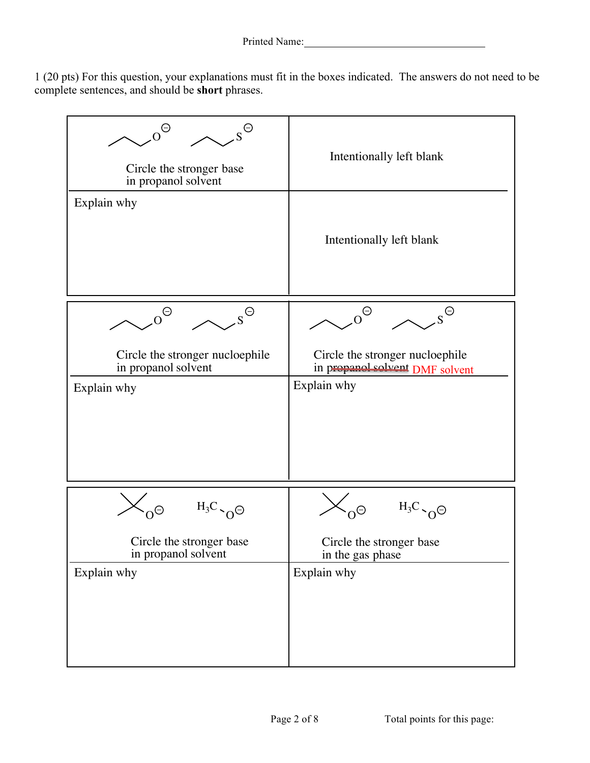1 (20 pts) For this question, your explanations must fit in the boxes indicated. The answers do not need to be complete sentences, and should be **short** phrases.

| $\mathrm{o}^\Theta$<br>$\varsigma^\ominus$<br>Circle the stronger base<br>in propanol solvent<br>Explain why | Intentionally left blank<br>Intentionally left blank                                                        |
|--------------------------------------------------------------------------------------------------------------|-------------------------------------------------------------------------------------------------------------|
|                                                                                                              |                                                                                                             |
| $\Theta$<br>$\ominus$<br>Circle the stronger nucloephile<br>in propanol solvent<br>Explain why               | $\Theta$<br>Θ<br>Circle the stronger nucloephile<br>in prepanol solvent DMF solvent<br>Explain why          |
|                                                                                                              |                                                                                                             |
| $H_3C$ $\sim$ $\odot$ $\odot$<br>$\Theta$<br>Circle the stronger base<br>in propanol solvent<br>Explain why  | $H_3C \setminus_{\Omega} \Theta$<br>$\Theta$<br>Circle the stronger base<br>in the gas phase<br>Explain why |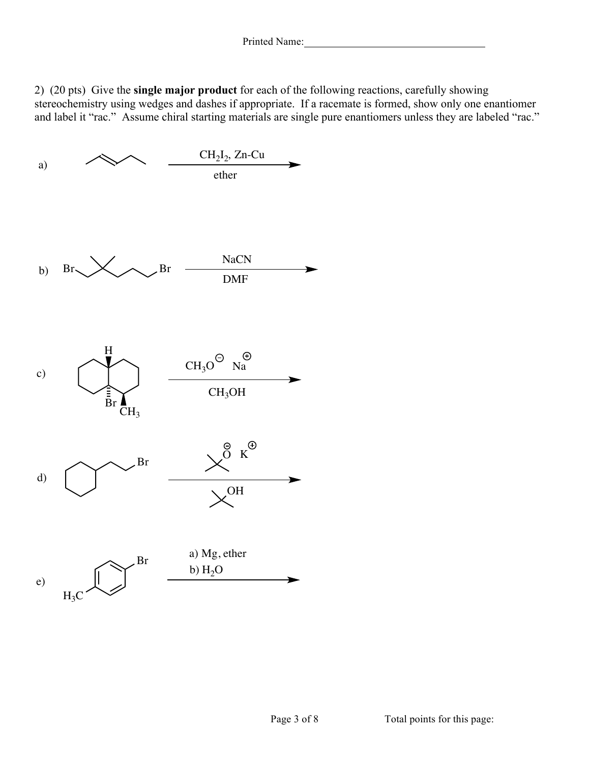2) (20 pts) Give the **single major product** for each of the following reactions, carefully showing stereochemistry using wedges and dashes if appropriate. If a racemate is formed, show only one enantiomer and label it "rac." Assume chiral starting materials are single pure enantiomers unless they are labeled "rac."

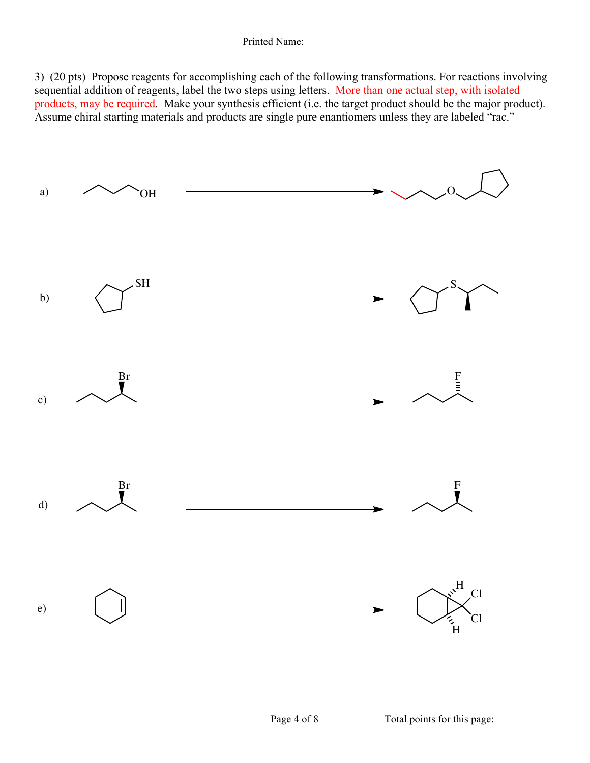3) (20 pts) Propose reagents for accomplishing each of the following transformations. For reactions involving sequential addition of reagents, label the two steps using letters. More than one actual step, with isolated products, may be required. Make your synthesis efficient (i.e. the target product should be the major product). Assume chiral starting materials and products are single pure enantiomers unless they are labeled "rac."

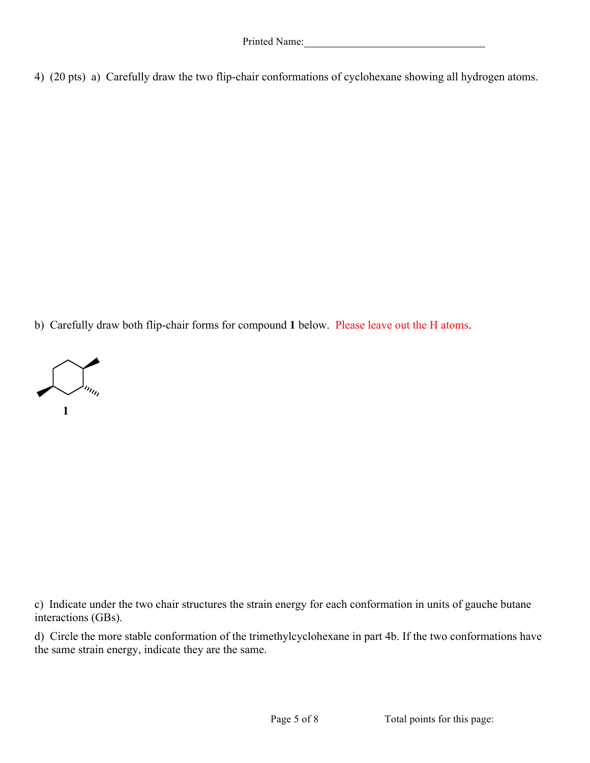4) (20 pts) a) Carefully draw the two flip-chair conformations of cyclohexane showing all hydrogen atoms.

b) Carefully draw both flip-chair forms for compound **1** below. Please leave out the H atoms.



c) Indicate under the two chair structures the strain energy for each conformation in units of gauche butane interactions (GBs).

d) Circle the more stable conformation of the trimethylcyclohexane in part 4b. If the two conformations have the same strain energy, indicate they are the same.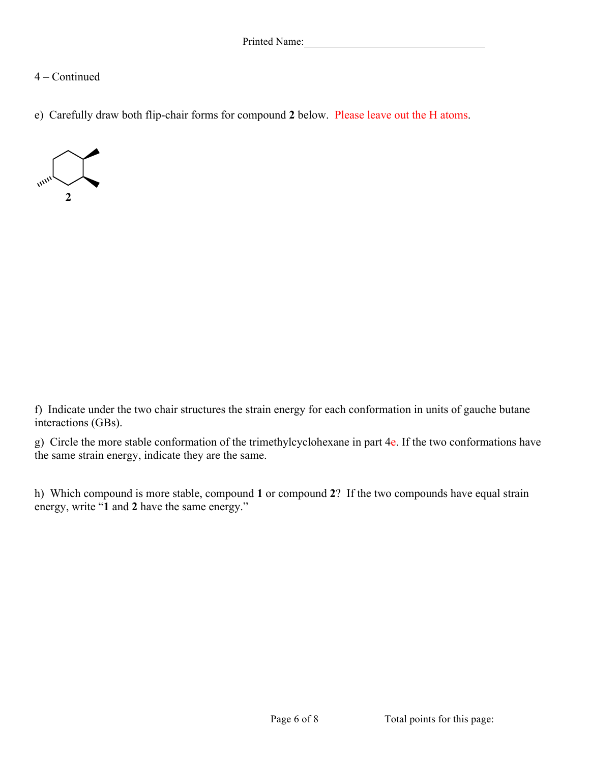## 4 – Continued

e) Carefully draw both flip-chair forms for compound **2** below. Please leave out the H atoms.



f) Indicate under the two chair structures the strain energy for each conformation in units of gauche butane interactions (GBs).

g) Circle the more stable conformation of the trimethylcyclohexane in part 4e. If the two conformations have the same strain energy, indicate they are the same.

h) Which compound is more stable, compound **1** or compound **2**? If the two compounds have equal strain energy, write "**1** and **2** have the same energy."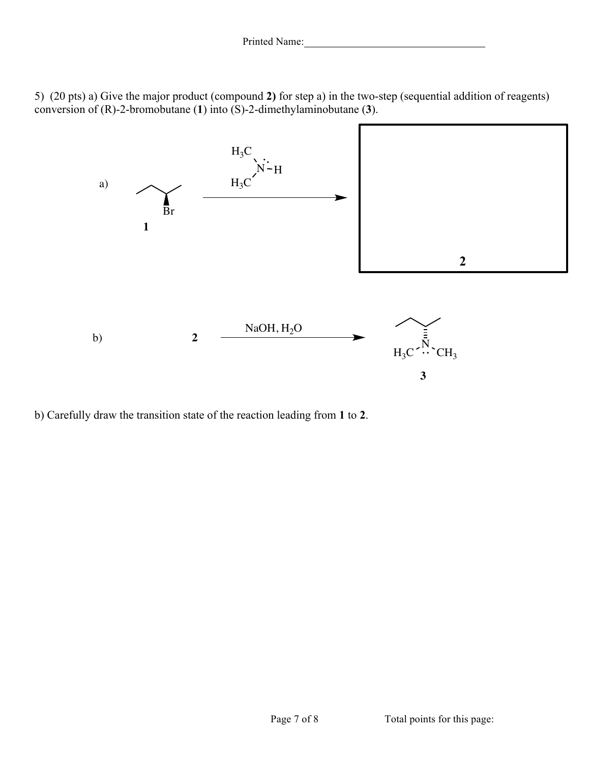5) (20 pts) a) Give the major product (compound **2)** for step a) in the two-step (sequential addition of reagents) conversion of (R)-2-bromobutane (**1**) into (S)-2-dimethylaminobutane (**3**).



b) Carefully draw the transition state of the reaction leading from **1** to **2**.